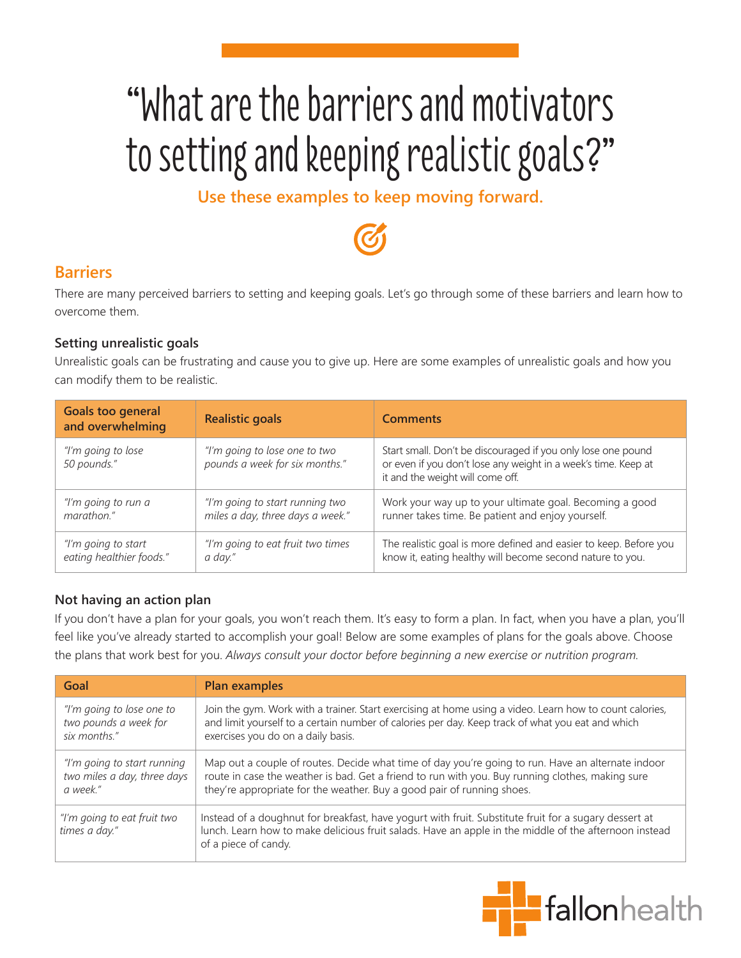# "What are the barriers and motivators to setting and keeping realistic goals?"

**Use these examples to keep moving forward.**

# **Barriers**

There are many perceived barriers to setting and keeping goals. Let's go through some of these barriers and learn how to overcome them.

### **Setting unrealistic goals**

Unrealistic goals can be frustrating and cause you to give up. Here are some examples of unrealistic goals and how you can modify them to be realistic.

| Goals too general<br>and overwhelming | <b>Realistic goals</b>                                          | <b>Comments</b>                                                                                                                                                    |
|---------------------------------------|-----------------------------------------------------------------|--------------------------------------------------------------------------------------------------------------------------------------------------------------------|
| "I'm going to lose<br>50 pounds."     | "I'm going to lose one to two<br>pounds a week for six months." | Start small. Don't be discouraged if you only lose one pound<br>or even if you don't lose any weight in a week's time. Keep at<br>it and the weight will come off. |
| "I'm going to run a                   | "I'm going to start running two                                 | Work your way up to your ultimate goal. Becoming a good                                                                                                            |
| marathon."                            | miles a day, three days a week."                                | runner takes time. Be patient and enjoy yourself.                                                                                                                  |
| "I'm going to start                   | "I'm going to eat fruit two times                               | The realistic goal is more defined and easier to keep. Before you                                                                                                  |
| eating healthier foods."              | a day."                                                         | know it, eating healthy will become second nature to you.                                                                                                          |

## **Not having an action plan**

If you don't have a plan for your goals, you won't reach them. It's easy to form a plan. In fact, when you have a plan, you'll feel like you've already started to accomplish your goal! Below are some examples of plans for the goals above. Choose the plans that work best for you. *Always consult your doctor before beginning a new exercise or nutrition program.*

| Goal                                         | <b>Plan examples</b>                                                                                                                                                                                                                   |
|----------------------------------------------|----------------------------------------------------------------------------------------------------------------------------------------------------------------------------------------------------------------------------------------|
| "I'm going to lose one to                    | Join the gym. Work with a trainer. Start exercising at home using a video. Learn how to count calories,                                                                                                                                |
| two pounds a week for                        | and limit yourself to a certain number of calories per day. Keep track of what you eat and which                                                                                                                                       |
| six months."                                 | exercises you do on a daily basis.                                                                                                                                                                                                     |
| "I'm going to start running                  | Map out a couple of routes. Decide what time of day you're going to run. Have an alternate indoor                                                                                                                                      |
| two miles a day, three days                  | route in case the weather is bad. Get a friend to run with you. Buy running clothes, making sure                                                                                                                                       |
| a week."                                     | they're appropriate for the weather. Buy a good pair of running shoes.                                                                                                                                                                 |
| "I'm going to eat fruit two<br>times a day." | Instead of a doughnut for breakfast, have yogurt with fruit. Substitute fruit for a sugary dessert at<br>lunch. Learn how to make delicious fruit salads. Have an apple in the middle of the afternoon instead<br>of a piece of candy. |